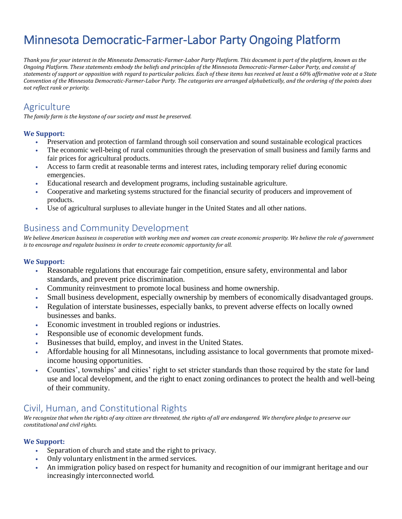# Minnesota Democratic-Farmer-Labor Party Ongoing Platform

*Thank you for your interest in the Minnesota Democratic-Farmer-Labor Party Platform. This document is part of the platform, known as the Ongoing Platform. These statements embody the beliefs and principles of the Minnesota Democratic-Farmer-Labor Party, and consist of statements of support or opposition with regard to particular policies. Each of these items has received at least a 60% affirmative vote at a State Convention of the Minnesota Democratic-Farmer-Labor Party. The categories are arranged alphabetically, and the ordering of the points does not reflect rank or priority.* 

## **Agriculture**

*The family farm is the keystone of our society and must be preserved.* 

#### **We Support:**

- Preservation and protection of farmland through soil conservation and sound sustainable ecological practices
- The economic well-being of rural communities through the preservation of small business and family farms and fair prices for agricultural products.
- Access to farm credit at reasonable terms and interest rates, including temporary relief during economic emergencies.
- Educational research and development programs, including sustainable agriculture.
- Cooperative and marketing systems structured for the financial security of producers and improvement of products.
- Use of agricultural surpluses to alleviate hunger in the United States and all other nations.

# Business and Community Development

*We believe American business in cooperation with working men and women can create economic prosperity. We believe the role of government is to encourage and regulate business in order to create economic opportunity for all.*

#### **We Support:**

- Reasonable regulations that encourage fair competition, ensure safety, environmental and labor standards, and prevent price discrimination.
- Community reinvestment to promote local business and home ownership.
- Small business development, especially ownership by members of economically disadvantaged groups.
- Regulation of interstate businesses, especially banks, to prevent adverse effects on locally owned businesses and banks.
- Economic investment in troubled regions or industries.
- Responsible use of economic development funds.
- Businesses that build, employ, and invest in the United States.
- Affordable housing for all Minnesotans, including assistance to local governments that promote mixedincome housing opportunities.
- Counties', townships' and cities' right to set stricter standards than those required by the state for land use and local development, and the right to enact zoning ordinances to protect the health and well-being of their community.

# Civil, Human, and Constitutional Rights

*We recognize that when the rights of any citizen are threatened, the rights of all are endangered. We therefore pledge to preserve our constitutional and civil rights.*

- Separation of church and state and the right to privacy.
- Only voluntary enlistment in the armed services.
- An immigration policy based on respect for humanity and recognition of our immigrant heritage and our increasingly interconnected world.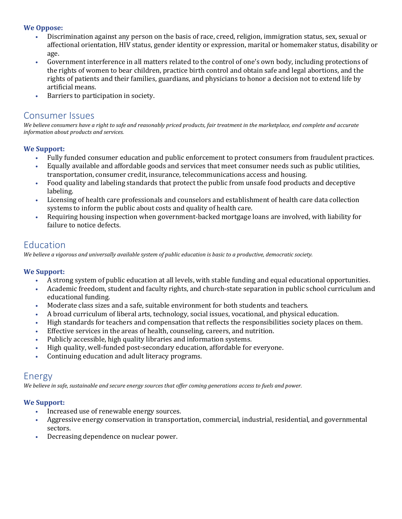#### **We Oppose:**

- Discrimination against any person on the basis of race, creed, religion, immigration status, sex, sexual or affectional orientation, HIV status, gender identity or expression, marital or homemaker status, disability or age.
- Government interference in all matters related to the control of one's own body, including protections of the rights of women to bear children, practice birth control and obtain safe and legal abortions, and the rights of patients and their families, guardians, and physicians to honor a decision not to extend life by artificial means.
- Barriers to participation in society.

### Consumer Issues

*We believe consumers have a right to safe and reasonably priced products, fair treatment in the marketplace, and complete and accurate information about products and services.*

#### **We Support:**

- Fully funded consumer education and public enforcement to protect consumers from fraudulent practices.
- Equally available and affordable goods and services that meet consumer needs such as public utilities, transportation, consumer credit, insurance, telecommunications access and housing.
- Food quality and labeling standards that protect the public from unsafe food products and deceptive labeling.
- Licensing of health care professionals and counselors and establishment of health care data collection systems to inform the public about costs and quality of health care.
- Requiring housing inspection when government-backed mortgage loans are involved, with liability for failure to notice defects.

### Education

*We believe a vigorous and universally available system of public education is basic to a productive, democratic society.*

#### **We Support:**

- A strong system of public education at all levels, with stable funding and equal educational opportunities.
- Academic freedom, student and faculty rights, and church-state separation in public school curriculum and educational funding.
- Moderate class sizes and a safe, suitable environment for both students and teachers.
- A broad curriculum of liberal arts, technology, social issues, vocational, and physical education.
- High standards for teachers and compensation that reflects the responsibilities society places on them.
- Effective services in the areas of health, counseling, careers, and nutrition.
- Publicly accessible, high quality libraries and information systems.
- High quality, well-funded post-secondary education, affordable for everyone.
- Continuing education and adult literacy programs.

### Energy

*We believe in safe, sustainable and secure energy sources that offer coming generations access to fuels and power.*

- Increased use of renewable energy sources.
- Aggressive energy conservation in transportation, commercial, industrial, residential, and governmental sectors.
- Decreasing dependence on nuclear power.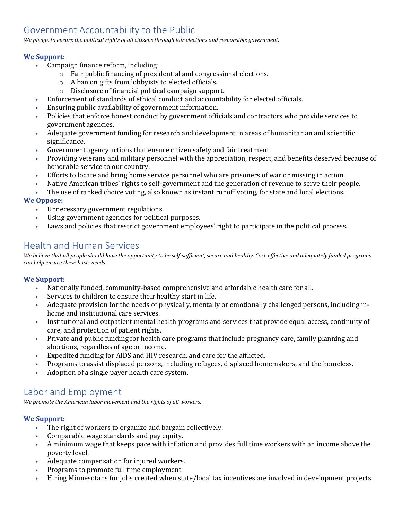# Government Accountability to the Public

*We pledge to ensure the political rights of all citizens through fair elections and responsible government.*

#### **We Support:**

- Campaign finance reform, including:
	- o Fair public financing of presidential and congressional elections.
		- o A ban on gifts from lobbyists to elected officials.
		- o Disclosure of financial political campaign support.
- Enforcement of standards of ethical conduct and accountability for elected officials.
- Ensuring public availability of government information.
- Policies that enforce honest conduct by government officials and contractors who provide services to government agencies.
- Adequate government funding for research and development in areas of humanitarian and scientific significance.
- Government agency actions that ensure citizen safety and fair treatment.
- Providing veterans and military personnel with the appreciation, respect, and benefits deserved because of honorable service to our country.
- Efforts to locate and bring home service personnel who are prisoners of war or missing in action.
- Native American tribes' rights to self-government and the generation of revenue to serve their people.
- The use of ranked choice voting, also known as instant runoff voting, for state and local elections.

#### **We Oppose:**

- Unnecessary government regulations.
- Using government agencies for political purposes.
- Laws and policies that restrict government employees' right to participate in the political process.

# Health and Human Services

*We believe that all people should have the opportunity to be self-sufficient, secure and healthy. Cost-effective and adequately funded programs can help ensure these basic needs.*

#### **We Support:**

- Nationally funded, community-based comprehensive and affordable health care for all.
- Services to children to ensure their healthy start in life.
- Adequate provision for the needs of physically, mentally or emotionally challenged persons, including inhome and institutional care services.
- Institutional and outpatient mental health programs and services that provide equal access, continuity of care, and protection of patient rights.
- Private and public funding for health care programs that include pregnancy care, family planning and abortions, regardless of age or income.
- Expedited funding for AIDS and HIV research, and care for the afflicted.
- Programs to assist displaced persons, including refugees, displaced homemakers, and the homeless.
- Adoption of a single payer health care system.

# Labor and Employment

*We promote the American labor movement and the rights of all workers.*

- The right of workers to organize and bargain collectively.
- Comparable wage standards and pay equity.
- A minimum wage that keeps pace with inflation and provides full time workers with an income above the poverty level.
- Adequate compensation for injured workers.
- Programs to promote full time employment.
- Hiring Minnesotans for jobs created when state/local tax incentives are involved in development projects.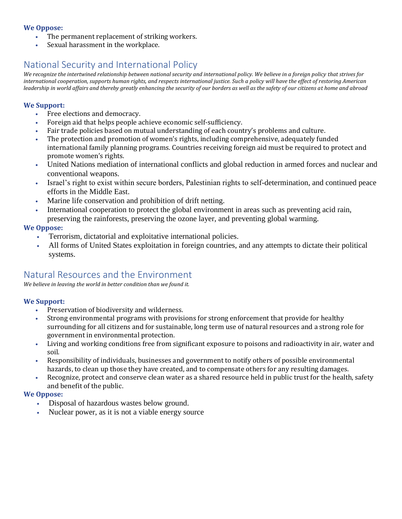#### **We Oppose:**

- The permanent replacement of striking workers.
- Sexual harassment in the workplace.

# National Security and International Policy

*We recognize the intertwined relationship between national security and international policy. We believe in a foreign policy that strives for international cooperation, supports human rights, and respects international justice. Such a policy will have the effect of restoring American leadership in world affairs and thereby greatly enhancing the security of our borders as well as the safety of our citizens at home and abroad* 

#### **We Support:**

- Free elections and democracy.
- Foreign aid that helps people achieve economic self-sufficiency.
- Fair trade policies based on mutual understanding of each country's problems and culture.
- The protection and promotion of women's rights, including comprehensive, adequately funded international family planning programs. Countries receiving foreign aid must be required to protect and promote women's rights.
- United Nations mediation of international conflicts and global reduction in armed forces and nuclear and conventional weapons.
- Israel's right to exist within secure borders, Palestinian rights to self-determination, and continued peace efforts in the Middle East.
- Marine life conservation and prohibition of drift netting.
- International cooperation to protect the global environment in areas such as preventing acid rain,
	- preserving the rainforests, preserving the ozone layer, and preventing global warming.

#### **We Oppose:**

- Terrorism, dictatorial and exploitative international policies.
- All forms of United States exploitation in foreign countries, and any attempts to dictate their political systems.

# Natural Resources and the Environment

*We believe in leaving the world in better condition than we found it.*

#### **We Support:**

- Preservation of biodiversity and wilderness.
- Strong environmental programs with provisions for strong enforcement that provide for healthy surrounding for all citizens and for sustainable, long term use of natural resources and a strong role for government in environmental protection.
- Living and working conditions free from significant exposure to poisons and radioactivity in air, water and soil.
- Responsibility of individuals, businesses and government to notify others of possible environmental hazards, to clean up those they have created, and to compensate others for any resulting damages.
- Recognize, protect and conserve clean water as a shared resource held in public trust for the health, safety and benefit of the public.

#### **We Oppose:**

- Disposal of hazardous wastes below ground.
- Nuclear power, as it is not a viable energy source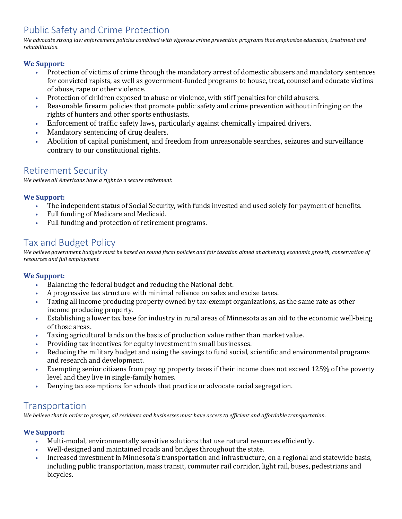# Public Safety and Crime Protection

*We advocate strong law enforcement policies combined with vigorous crime prevention programs that emphasize education, treatment and rehabilitation.* 

#### **We Support:**

- Protection of victims of crime through the mandatory arrest of domestic abusers and mandatory sentences for convicted rapists, as well as government-funded programs to house, treat, counsel and educate victims of abuse, rape or other violence.
- Protection of children exposed to abuse or violence, with stiff penalties for child abusers.
- Reasonable firearm policies that promote public safety and crime prevention without infringing on the rights of hunters and other sports enthusiasts.
- Enforcement of traffic safety laws, particularly against chemically impaired drivers.
- Mandatory sentencing of drug dealers.
- Abolition of capital punishment, and freedom from unreasonable searches, seizures and surveillance contrary to our constitutional rights.

### Retirement Security

*We believe all Americans have a right to a secure retirement.*

#### **We Support:**

- The independent status of Social Security, with funds invested and used solely for payment of benefits.
- Full funding of Medicare and Medicaid.
- Full funding and protection of retirement programs.

### Tax and Budget Policy

*We believe government budgets must be based on sound fiscal policies and fair taxation aimed at achieving economic growth, conservation of resources and full employment*

#### **We Support:**

- Balancing the federal budget and reducing the National debt.
- A progressive tax structure with minimal reliance on sales and excise taxes.
- Taxing all income producing property owned by tax-exempt organizations, as the same rate as other income producing property.
- Establishing a lower tax base for industry in rural areas of Minnesota as an aid to the economic well-being of those areas.
- Taxing agricultural lands on the basis of production value rather than market value.
- Providing tax incentives for equity investment in small businesses.
- Reducing the military budget and using the savings to fund social, scientific and environmental programs and research and development.
- Exempting senior citizens from paying property taxes if their income does not exceed 125% of the poverty level and they live in single-family homes.
- Denying tax exemptions for schools that practice or advocate racial segregation.

### **Transportation**

*We believe that in order to prosper, all residents and businesses must have access to efficient and affordable transportation.*

- Multi-modal, environmentally sensitive solutions that use natural resources efficiently.
- Well-designed and maintained roads and bridges throughout the state.
- Increased investment in Minnesota's transportation and infrastructure, on a regional and statewide basis, including public transportation, mass transit, commuter rail corridor, light rail, buses, pedestrians and bicycles.